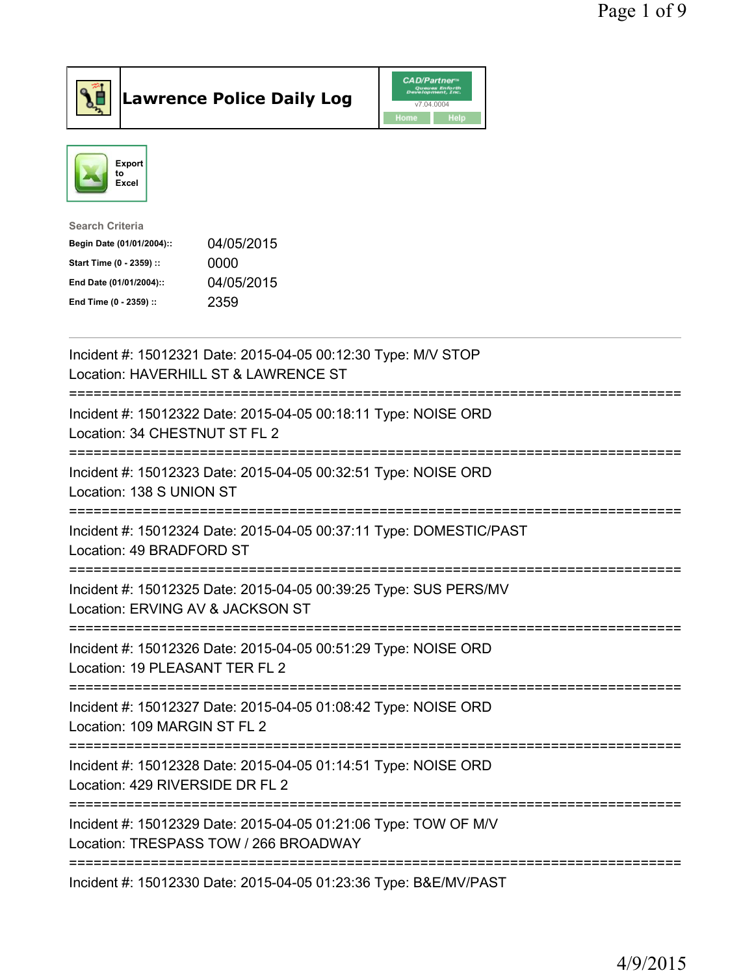



| <b>Search Criteria</b>    |            |
|---------------------------|------------|
| Begin Date (01/01/2004):: | 04/05/2015 |
| Start Time (0 - 2359) ::  | 0000       |
| End Date (01/01/2004)::   | 04/05/2015 |
| End Time (0 - 2359) ::    | 2359       |
|                           |            |

| Incident #: 15012321 Date: 2015-04-05 00:12:30 Type: M/V STOP<br>Location: HAVERHILL ST & LAWRENCE ST<br>=========================                                                    |
|---------------------------------------------------------------------------------------------------------------------------------------------------------------------------------------|
| Incident #: 15012322 Date: 2015-04-05 00:18:11 Type: NOISE ORD<br>Location: 34 CHESTNUT ST FL 2<br>;=======================<br>--------------<br>==================================== |
| Incident #: 15012323 Date: 2015-04-05 00:32:51 Type: NOISE ORD<br>Location: 138 S UNION ST<br>==============================                                                          |
| Incident #: 15012324 Date: 2015-04-05 00:37:11 Type: DOMESTIC/PAST<br>Location: 49 BRADFORD ST                                                                                        |
| Incident #: 15012325 Date: 2015-04-05 00:39:25 Type: SUS PERS/MV<br>Location: ERVING AV & JACKSON ST                                                                                  |
| Incident #: 15012326 Date: 2015-04-05 00:51:29 Type: NOISE ORD<br>Location: 19 PLEASANT TER FL 2                                                                                      |
| Incident #: 15012327 Date: 2015-04-05 01:08:42 Type: NOISE ORD<br>Location: 109 MARGIN ST FL 2                                                                                        |
| Incident #: 15012328 Date: 2015-04-05 01:14:51 Type: NOISE ORD<br>Location: 429 RIVERSIDE DR FL 2                                                                                     |
| Incident #: 15012329 Date: 2015-04-05 01:21:06 Type: TOW OF M/V<br>Location: TRESPASS TOW / 266 BROADWAY                                                                              |
| Incident #: 15012330 Date: 2015-04-05 01:23:36 Type: B&E/MV/PAST                                                                                                                      |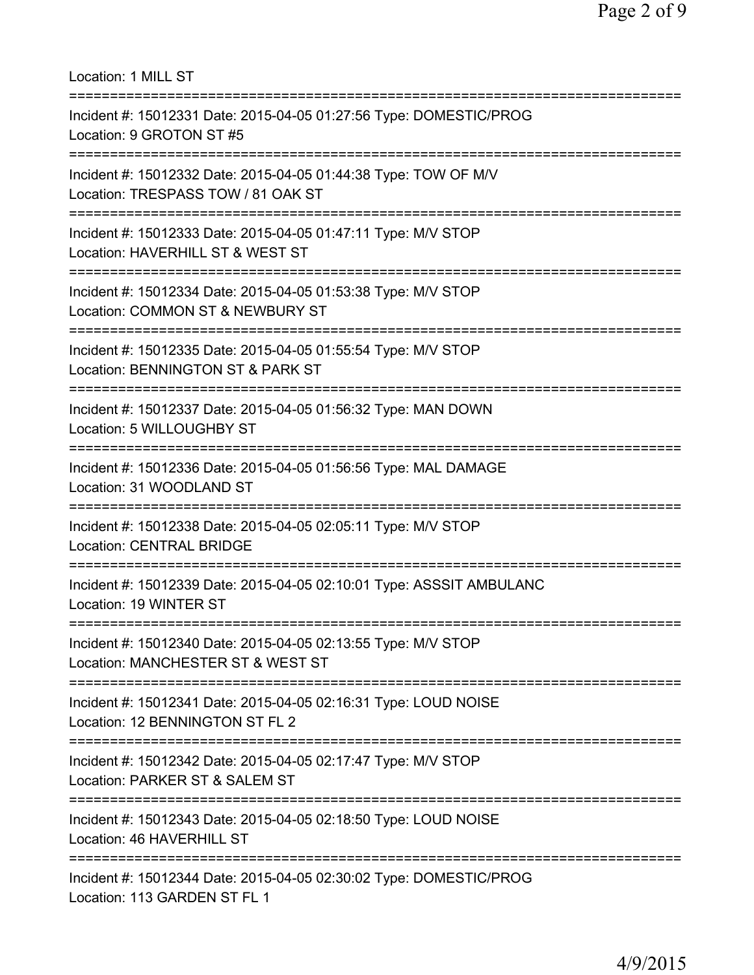| Location: 1 MILL ST                                                                                                                     |
|-----------------------------------------------------------------------------------------------------------------------------------------|
| Incident #: 15012331 Date: 2015-04-05 01:27:56 Type: DOMESTIC/PROG<br>Location: 9 GROTON ST #5                                          |
| Incident #: 15012332 Date: 2015-04-05 01:44:38 Type: TOW OF M/V<br>Location: TRESPASS TOW / 81 OAK ST<br>============================== |
| Incident #: 15012333 Date: 2015-04-05 01:47:11 Type: M/V STOP<br>Location: HAVERHILL ST & WEST ST                                       |
| ===========================<br>Incident #: 15012334 Date: 2015-04-05 01:53:38 Type: M/V STOP<br>Location: COMMON ST & NEWBURY ST        |
| Incident #: 15012335 Date: 2015-04-05 01:55:54 Type: M/V STOP<br>Location: BENNINGTON ST & PARK ST                                      |
| Incident #: 15012337 Date: 2015-04-05 01:56:32 Type: MAN DOWN<br>Location: 5 WILLOUGHBY ST                                              |
| Incident #: 15012336 Date: 2015-04-05 01:56:56 Type: MAL DAMAGE<br>Location: 31 WOODLAND ST                                             |
| Incident #: 15012338 Date: 2015-04-05 02:05:11 Type: M/V STOP<br><b>Location: CENTRAL BRIDGE</b>                                        |
| Incident #: 15012339 Date: 2015-04-05 02:10:01 Type: ASSSIT AMBULANC<br>Location: 19 WINTER ST                                          |
| Incident #: 15012340 Date: 2015-04-05 02:13:55 Type: M/V STOP<br>Location: MANCHESTER ST & WEST ST                                      |
| Incident #: 15012341 Date: 2015-04-05 02:16:31 Type: LOUD NOISE<br>Location: 12 BENNINGTON ST FL 2                                      |
| ===============================<br>Incident #: 15012342 Date: 2015-04-05 02:17:47 Type: M/V STOP<br>Location: PARKER ST & SALEM ST      |
| Incident #: 15012343 Date: 2015-04-05 02:18:50 Type: LOUD NOISE<br>Location: 46 HAVERHILL ST                                            |
| Incident #: 15012344 Date: 2015-04-05 02:30:02 Type: DOMESTIC/PROG<br>Location: 113 GARDEN ST FL 1                                      |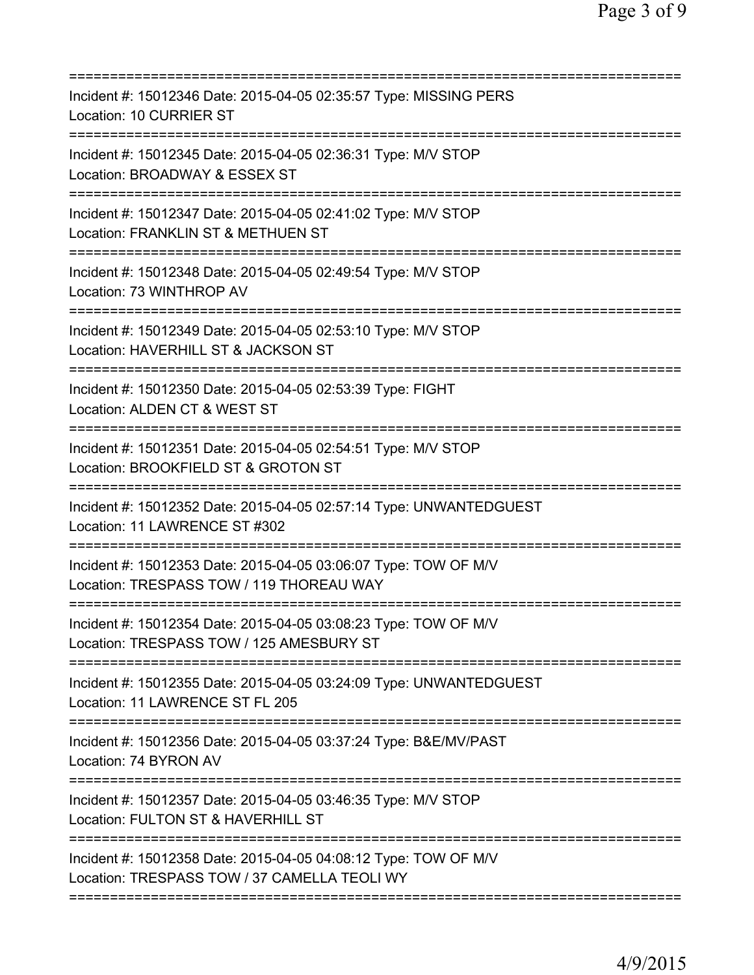| Incident #: 15012346 Date: 2015-04-05 02:35:57 Type: MISSING PERS<br>Location: 10 CURRIER ST                                                                |
|-------------------------------------------------------------------------------------------------------------------------------------------------------------|
| Incident #: 15012345 Date: 2015-04-05 02:36:31 Type: M/V STOP<br>Location: BROADWAY & ESSEX ST<br>==========================<br>=========================== |
| Incident #: 15012347 Date: 2015-04-05 02:41:02 Type: M/V STOP<br>Location: FRANKLIN ST & METHUEN ST                                                         |
| Incident #: 15012348 Date: 2015-04-05 02:49:54 Type: M/V STOP<br>Location: 73 WINTHROP AV                                                                   |
| Incident #: 15012349 Date: 2015-04-05 02:53:10 Type: M/V STOP<br>Location: HAVERHILL ST & JACKSON ST                                                        |
| ======================<br>Incident #: 15012350 Date: 2015-04-05 02:53:39 Type: FIGHT<br>Location: ALDEN CT & WEST ST<br>=======================             |
| Incident #: 15012351 Date: 2015-04-05 02:54:51 Type: M/V STOP<br>Location: BROOKFIELD ST & GROTON ST                                                        |
| Incident #: 15012352 Date: 2015-04-05 02:57:14 Type: UNWANTEDGUEST<br>Location: 11 LAWRENCE ST #302                                                         |
| Incident #: 15012353 Date: 2015-04-05 03:06:07 Type: TOW OF M/V<br>Location: TRESPASS TOW / 119 THOREAU WAY                                                 |
| Incident #: 15012354 Date: 2015-04-05 03:08:23 Type: TOW OF M/V<br>Location: TRESPASS TOW / 125 AMESBURY ST<br>=====================================        |
| Incident #: 15012355 Date: 2015-04-05 03:24:09 Type: UNWANTEDGUEST<br>Location: 11 LAWRENCE ST FL 205                                                       |
| Incident #: 15012356 Date: 2015-04-05 03:37:24 Type: B&E/MV/PAST<br>Location: 74 BYRON AV                                                                   |
| Incident #: 15012357 Date: 2015-04-05 03:46:35 Type: M/V STOP<br>Location: FULTON ST & HAVERHILL ST                                                         |
| Incident #: 15012358 Date: 2015-04-05 04:08:12 Type: TOW OF M/V<br>Location: TRESPASS TOW / 37 CAMELLA TEOLI WY                                             |
|                                                                                                                                                             |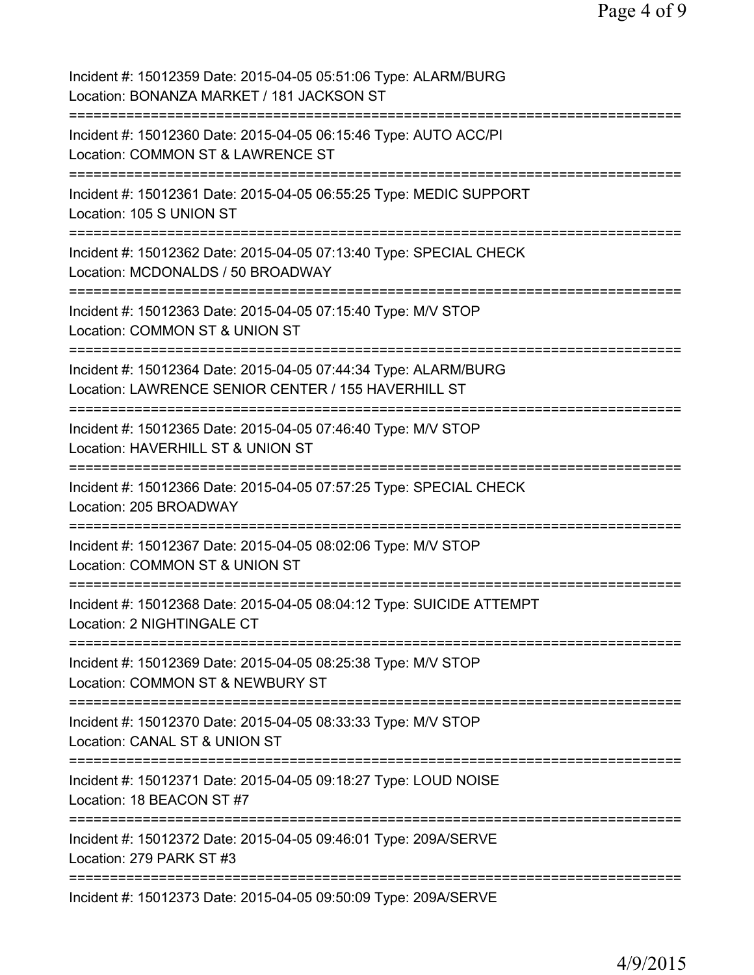| Incident #: 15012359 Date: 2015-04-05 05:51:06 Type: ALARM/BURG<br>Location: BONANZA MARKET / 181 JACKSON ST                          |
|---------------------------------------------------------------------------------------------------------------------------------------|
| Incident #: 15012360 Date: 2015-04-05 06:15:46 Type: AUTO ACC/PI<br>Location: COMMON ST & LAWRENCE ST                                 |
| Incident #: 15012361 Date: 2015-04-05 06:55:25 Type: MEDIC SUPPORT<br>Location: 105 S UNION ST                                        |
| Incident #: 15012362 Date: 2015-04-05 07:13:40 Type: SPECIAL CHECK<br>Location: MCDONALDS / 50 BROADWAY<br>================           |
| Incident #: 15012363 Date: 2015-04-05 07:15:40 Type: M/V STOP<br>Location: COMMON ST & UNION ST<br>============                       |
| Incident #: 15012364 Date: 2015-04-05 07:44:34 Type: ALARM/BURG<br>Location: LAWRENCE SENIOR CENTER / 155 HAVERHILL ST                |
| Incident #: 15012365 Date: 2015-04-05 07:46:40 Type: M/V STOP<br>Location: HAVERHILL ST & UNION ST                                    |
| Incident #: 15012366 Date: 2015-04-05 07:57:25 Type: SPECIAL CHECK<br>Location: 205 BROADWAY<br>======================                |
| Incident #: 15012367 Date: 2015-04-05 08:02:06 Type: M/V STOP<br>Location: COMMON ST & UNION ST                                       |
| Incident #: 15012368 Date: 2015-04-05 08:04:12 Type: SUICIDE ATTEMPT<br>Location: 2 NIGHTINGALE CT                                    |
| Incident #: 15012369 Date: 2015-04-05 08:25:38 Type: M/V STOP<br>Location: COMMON ST & NEWBURY ST                                     |
| Incident #: 15012370 Date: 2015-04-05 08:33:33 Type: M/V STOP<br>Location: CANAL ST & UNION ST<br>============<br>:================== |
| Incident #: 15012371 Date: 2015-04-05 09:18:27 Type: LOUD NOISE<br>Location: 18 BEACON ST #7                                          |
| :=================<br>Incident #: 15012372 Date: 2015-04-05 09:46:01 Type: 209A/SERVE<br>Location: 279 PARK ST #3                     |
| ====================<br>Incident #: 15012373 Date: 2015-04-05 09:50:09 Type: 209A/SERVE                                               |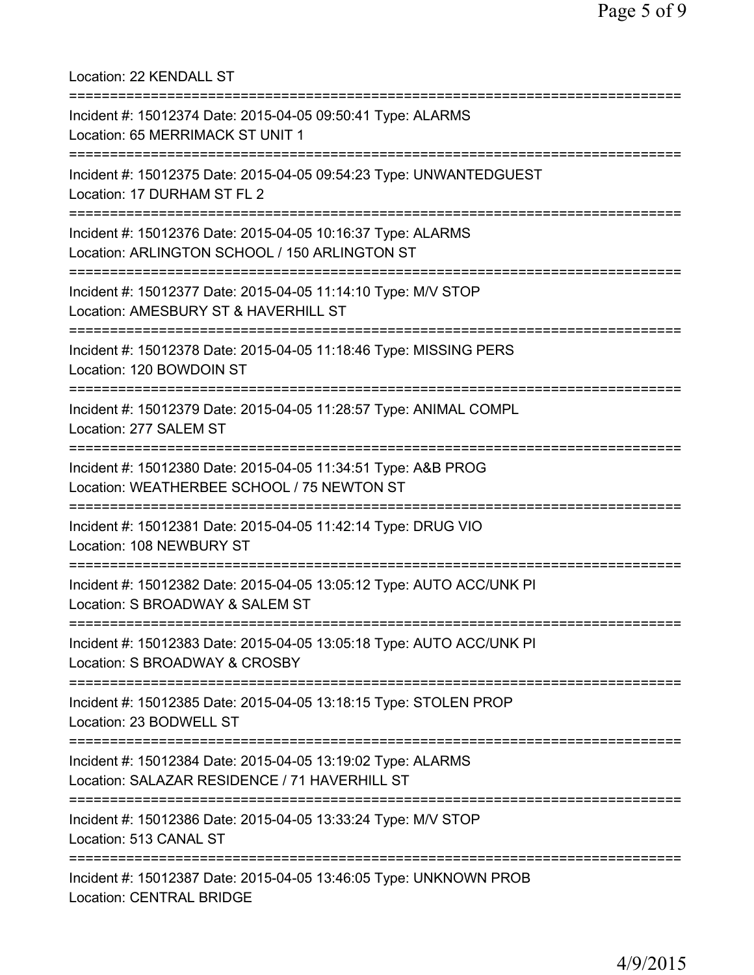Location: 22 KENDALL ST =========================================================================== Incident #: 15012374 Date: 2015-04-05 09:50:41 Type: ALARMS Location: 65 MERRIMACK ST UNIT 1 =========================================================================== Incident #: 15012375 Date: 2015-04-05 09:54:23 Type: UNWANTEDGUEST Location: 17 DURHAM ST FL 2 =========================================================================== Incident #: 15012376 Date: 2015-04-05 10:16:37 Type: ALARMS Location: ARLINGTON SCHOOL / 150 ARLINGTON ST =========================================================================== Incident #: 15012377 Date: 2015-04-05 11:14:10 Type: M/V STOP Location: AMESBURY ST & HAVERHILL ST =========================================================================== Incident #: 15012378 Date: 2015-04-05 11:18:46 Type: MISSING PERS Location: 120 BOWDOIN ST =========================================================================== Incident #: 15012379 Date: 2015-04-05 11:28:57 Type: ANIMAL COMPL Location: 277 SALEM ST =========================================================================== Incident #: 15012380 Date: 2015-04-05 11:34:51 Type: A&B PROG Location: WEATHERBEE SCHOOL / 75 NEWTON ST =========================================================================== Incident #: 15012381 Date: 2015-04-05 11:42:14 Type: DRUG VIO Location: 108 NEWBURY ST =========================================================================== Incident #: 15012382 Date: 2015-04-05 13:05:12 Type: AUTO ACC/UNK PI Location: S BROADWAY & SALEM ST =========================================================================== Incident #: 15012383 Date: 2015-04-05 13:05:18 Type: AUTO ACC/UNK PI Location: S BROADWAY & CROSBY =========================================================================== Incident #: 15012385 Date: 2015-04-05 13:18:15 Type: STOLEN PROP Location: 23 BODWELL ST =========================================================================== Incident #: 15012384 Date: 2015-04-05 13:19:02 Type: ALARMS Location: SALAZAR RESIDENCE / 71 HAVERHILL ST =========================================================================== Incident #: 15012386 Date: 2015-04-05 13:33:24 Type: M/V STOP Location: 513 CANAL ST =========================================================================== Incident #: 15012387 Date: 2015-04-05 13:46:05 Type: UNKNOWN PROB Location: CENTRAL BRIDGE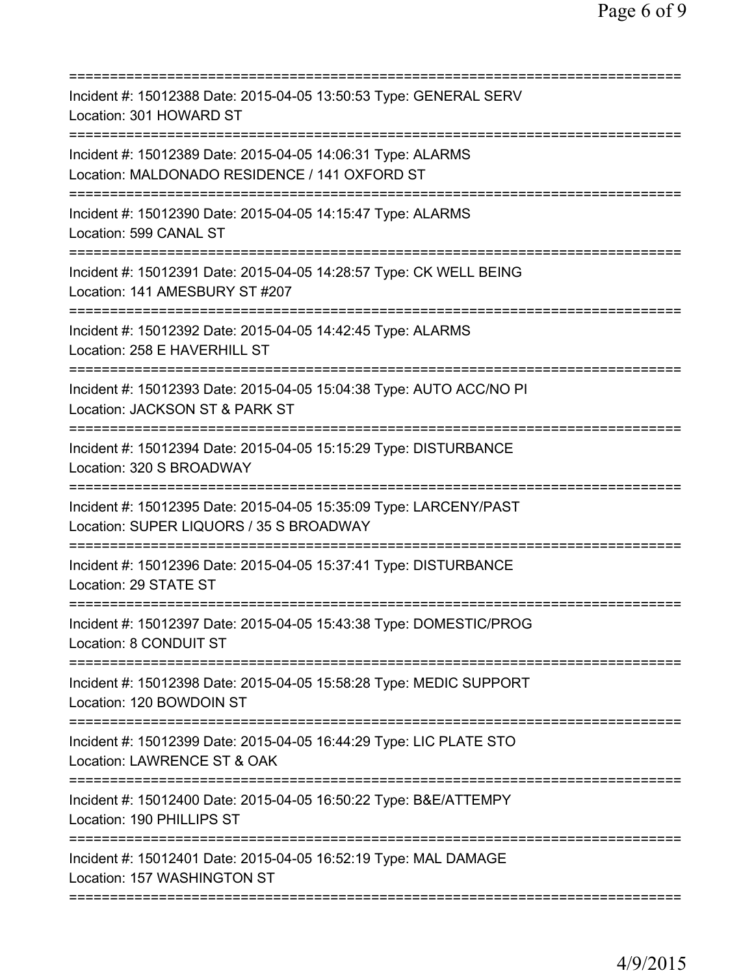| Incident #: 15012388 Date: 2015-04-05 13:50:53 Type: GENERAL SERV<br>Location: 301 HOWARD ST                                                                                               |
|--------------------------------------------------------------------------------------------------------------------------------------------------------------------------------------------|
| Incident #: 15012389 Date: 2015-04-05 14:06:31 Type: ALARMS<br>Location: MALDONADO RESIDENCE / 141 OXFORD ST<br>======================================<br>================================ |
| Incident #: 15012390 Date: 2015-04-05 14:15:47 Type: ALARMS<br>Location: 599 CANAL ST                                                                                                      |
| Incident #: 15012391 Date: 2015-04-05 14:28:57 Type: CK WELL BEING<br>Location: 141 AMESBURY ST #207                                                                                       |
| Incident #: 15012392 Date: 2015-04-05 14:42:45 Type: ALARMS<br>Location: 258 E HAVERHILL ST                                                                                                |
| Incident #: 15012393 Date: 2015-04-05 15:04:38 Type: AUTO ACC/NO PI<br>Location: JACKSON ST & PARK ST                                                                                      |
| =========================<br>Incident #: 15012394 Date: 2015-04-05 15:15:29 Type: DISTURBANCE<br>Location: 320 S BROADWAY                                                                  |
| Incident #: 15012395 Date: 2015-04-05 15:35:09 Type: LARCENY/PAST<br>Location: SUPER LIQUORS / 35 S BROADWAY<br>=====================================                                      |
| Incident #: 15012396 Date: 2015-04-05 15:37:41 Type: DISTURBANCE<br>Location: 29 STATE ST                                                                                                  |
| Incident #: 15012397 Date: 2015-04-05 15:43:38 Type: DOMESTIC/PROG<br>Location: 8 CONDUIT ST                                                                                               |
| ;=====================================<br>Incident #: 15012398 Date: 2015-04-05 15:58:28 Type: MEDIC SUPPORT<br>Location: 120 BOWDOIN ST                                                   |
| Incident #: 15012399 Date: 2015-04-05 16:44:29 Type: LIC PLATE STO<br>Location: LAWRENCE ST & OAK                                                                                          |
| Incident #: 15012400 Date: 2015-04-05 16:50:22 Type: B&E/ATTEMPY<br>Location: 190 PHILLIPS ST                                                                                              |
| Incident #: 15012401 Date: 2015-04-05 16:52:19 Type: MAL DAMAGE<br>Location: 157 WASHINGTON ST                                                                                             |
|                                                                                                                                                                                            |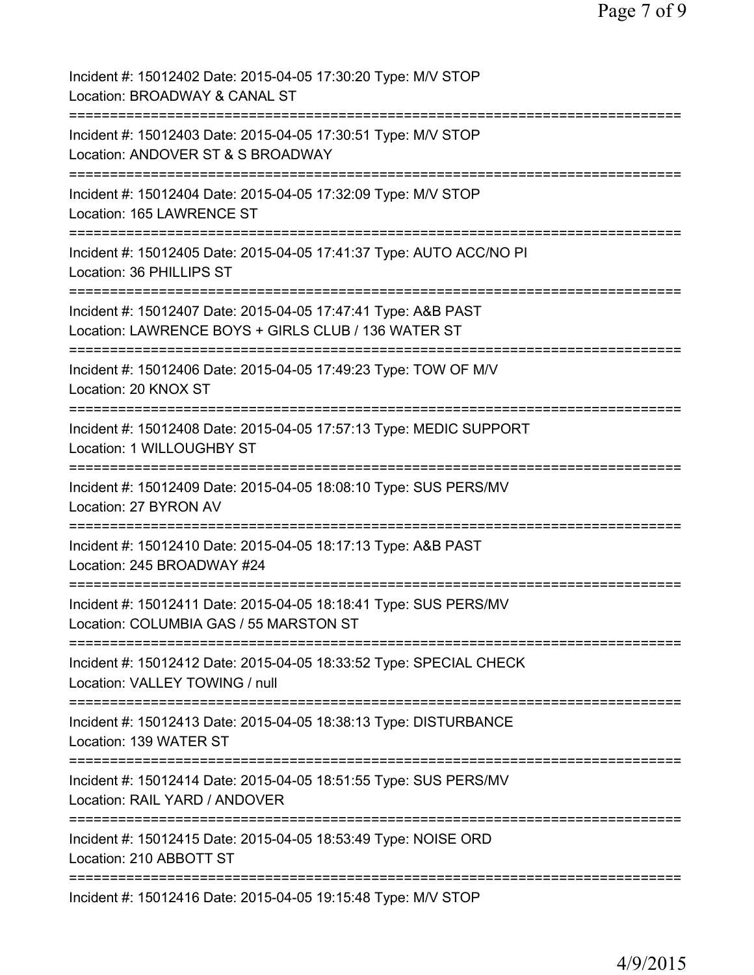| Incident #: 15012402 Date: 2015-04-05 17:30:20 Type: M/V STOP<br>Location: BROADWAY & CANAL ST                       |
|----------------------------------------------------------------------------------------------------------------------|
| Incident #: 15012403 Date: 2015-04-05 17:30:51 Type: M/V STOP<br>Location: ANDOVER ST & S BROADWAY                   |
| Incident #: 15012404 Date: 2015-04-05 17:32:09 Type: M/V STOP<br>Location: 165 LAWRENCE ST                           |
| Incident #: 15012405 Date: 2015-04-05 17:41:37 Type: AUTO ACC/NO PI<br>Location: 36 PHILLIPS ST                      |
| Incident #: 15012407 Date: 2015-04-05 17:47:41 Type: A&B PAST<br>Location: LAWRENCE BOYS + GIRLS CLUB / 136 WATER ST |
| Incident #: 15012406 Date: 2015-04-05 17:49:23 Type: TOW OF M/V<br>Location: 20 KNOX ST                              |
| Incident #: 15012408 Date: 2015-04-05 17:57:13 Type: MEDIC SUPPORT<br>Location: 1 WILLOUGHBY ST<br>===============   |
| Incident #: 15012409 Date: 2015-04-05 18:08:10 Type: SUS PERS/MV<br>Location: 27 BYRON AV                            |
| Incident #: 15012410 Date: 2015-04-05 18:17:13 Type: A&B PAST<br>Location: 245 BROADWAY #24                          |
| Incident #: 15012411 Date: 2015-04-05 18:18:41 Type: SUS PERS/MV<br>Location: COLUMBIA GAS / 55 MARSTON ST           |
| Incident #: 15012412 Date: 2015-04-05 18:33:52 Type: SPECIAL CHECK<br>Location: VALLEY TOWING / null                 |
| Incident #: 15012413 Date: 2015-04-05 18:38:13 Type: DISTURBANCE<br>Location: 139 WATER ST                           |
| Incident #: 15012414 Date: 2015-04-05 18:51:55 Type: SUS PERS/MV<br>Location: RAIL YARD / ANDOVER                    |
| Incident #: 15012415 Date: 2015-04-05 18:53:49 Type: NOISE ORD<br>Location: 210 ABBOTT ST                            |
| Incident #: 15012416 Date: 2015-04-05 19:15:48 Type: M/V STOP                                                        |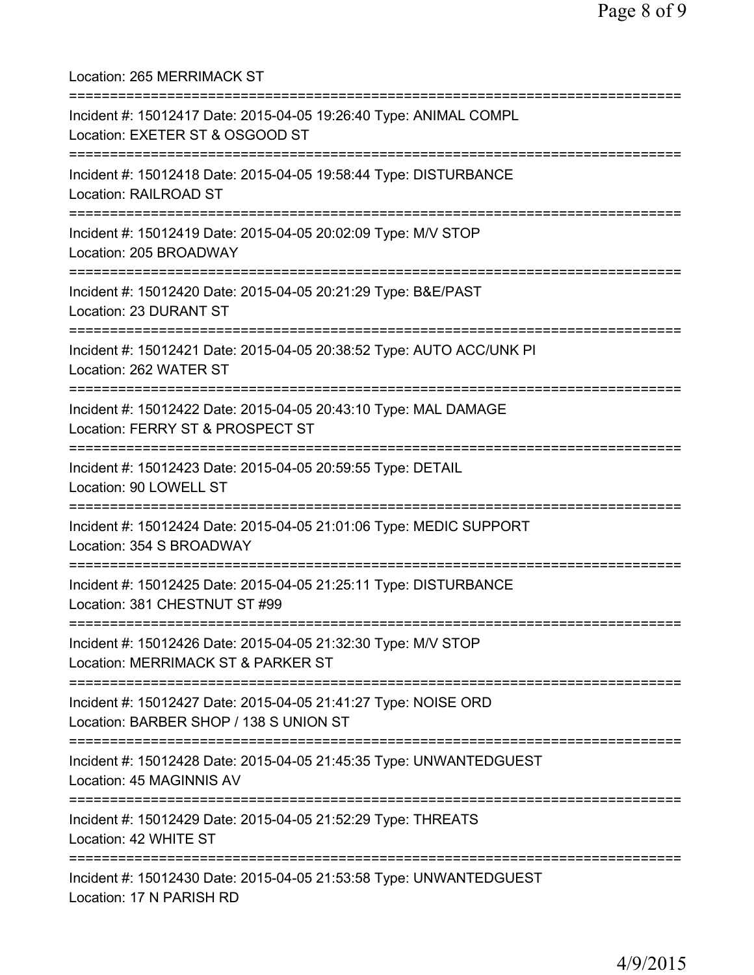Location: 265 MERRIMACK ST =========================================================================== Incident #: 15012417 Date: 2015-04-05 19:26:40 Type: ANIMAL COMPL Location: EXETER ST & OSGOOD ST =========================================================================== Incident #: 15012418 Date: 2015-04-05 19:58:44 Type: DISTURBANCE Location: RAILROAD ST =========================================================================== Incident #: 15012419 Date: 2015-04-05 20:02:09 Type: M/V STOP Location: 205 BROADWAY =========================================================================== Incident #: 15012420 Date: 2015-04-05 20:21:29 Type: B&E/PAST Location: 23 DURANT ST =========================================================================== Incident #: 15012421 Date: 2015-04-05 20:38:52 Type: AUTO ACC/UNK PI Location: 262 WATER ST =========================================================================== Incident #: 15012422 Date: 2015-04-05 20:43:10 Type: MAL DAMAGE Location: FERRY ST & PROSPECT ST =========================================================================== Incident #: 15012423 Date: 2015-04-05 20:59:55 Type: DETAIL Location: 90 LOWELL ST =========================================================================== Incident #: 15012424 Date: 2015-04-05 21:01:06 Type: MEDIC SUPPORT Location: 354 S BROADWAY =========================================================================== Incident #: 15012425 Date: 2015-04-05 21:25:11 Type: DISTURBANCE Location: 381 CHESTNUT ST #99 =========================================================================== Incident #: 15012426 Date: 2015-04-05 21:32:30 Type: M/V STOP Location: MERRIMACK ST & PARKER ST =========================================================================== Incident #: 15012427 Date: 2015-04-05 21:41:27 Type: NOISE ORD Location: BARBER SHOP / 138 S UNION ST =========================================================================== Incident #: 15012428 Date: 2015-04-05 21:45:35 Type: UNWANTEDGUEST Location: 45 MAGINNIS AV =========================================================================== Incident #: 15012429 Date: 2015-04-05 21:52:29 Type: THREATS Location: 42 WHITE ST =========================================================================== Incident #: 15012430 Date: 2015-04-05 21:53:58 Type: UNWANTEDGUEST Location: 17 N PARISH RD